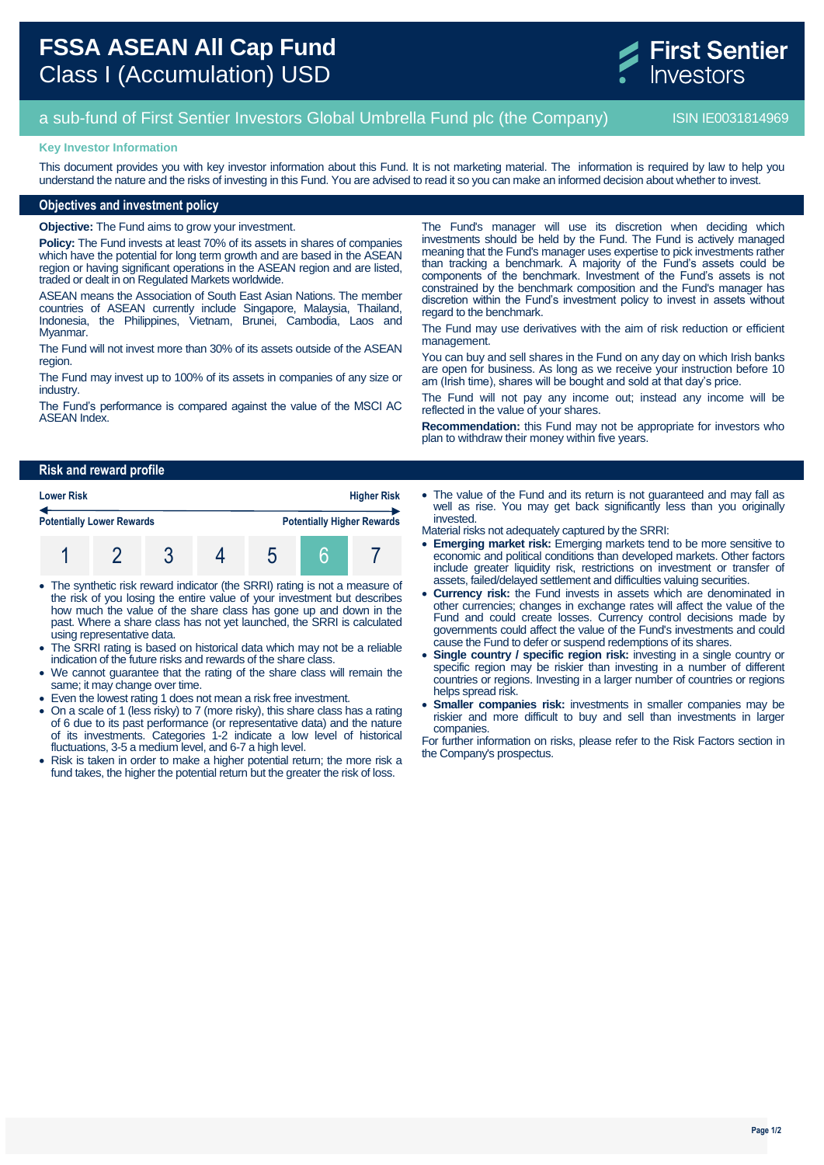

# a sub-fund of First Sentier Investors Global Umbrella Fund plc (the Company) **ISIN IE0031814969**

### **Key Investor Information**

This document provides you with key investor information about this Fund. It is not marketing material. The information is required by law to help you understand the nature and the risks of investing in this Fund. You are advised to read it so you can make an informed decision about whether to invest.

## **Objectives and investment policy**

**Objective:** The Fund aims to grow your investment.

**Policy:** The Fund invests at least 70% of its assets in shares of companies which have the potential for long term growth and are based in the ASEAN region or having significant operations in the ASEAN region and are listed, traded or dealt in on Regulated Markets worldwide.

ASEAN means the Association of South East Asian Nations. The member countries of ASEAN currently include Singapore, Malaysia, Thailand, Indonesia, the Philippines, Vietnam, Brunei, Cambodia, Laos and Myanmar.

The Fund will not invest more than 30% of its assets outside of the ASEAN region.

The Fund may invest up to 100% of its assets in companies of any size or industry.

The Fund's performance is compared against the value of the MSCI AC ASEAN Index.

The Fund's manager will use its discretion when deciding which investments should be held by the Fund. The Fund is actively managed meaning that the Fund's manager uses expertise to pick investments rather than tracking a benchmark. A majority of the Fund's assets could be components of the benchmark. Investment of the Fund's assets is not constrained by the benchmark composition and the Fund's manager has discretion within the Fund's investment policy to invest in assets without regard to the benchmark.

The Fund may use derivatives with the aim of risk reduction or efficient management.

You can buy and sell shares in the Fund on any day on which Irish banks are open for business. As long as we receive your instruction before 10 am (Irish time), shares will be bought and sold at that day's price.

The Fund will not pay any income out; instead any income will be reflected in the value of your shares.

**Recommendation:** this Fund may not be appropriate for investors who plan to withdraw their money within five years.

## **Risk and reward profile**

| <b>Lower Risk</b>                | <b>Higher Risk</b> |  |  |  |  |                                   |
|----------------------------------|--------------------|--|--|--|--|-----------------------------------|
| <b>Potentially Lower Rewards</b> |                    |  |  |  |  | <b>Potentially Higher Rewards</b> |
|                                  |                    |  |  |  |  |                                   |

- The synthetic risk reward indicator (the SRRI) rating is not a measure of the risk of you losing the entire value of your investment but describes how much the value of the share class has gone up and down in the past. Where a share class has not yet launched, the SRRI is calculated using representative data.
- The SRRI rating is based on historical data which may not be a reliable indication of the future risks and rewards of the share class.
- We cannot guarantee that the rating of the share class will remain the same; it may change over time.
- Even the lowest rating 1 does not mean a risk free investment.
- On a scale of 1 (less risky) to 7 (more risky), this share class has a rating of 6 due to its past performance (or representative data) and the nature of its investments. Categories 1-2 indicate a low level of historical fluctuations, 3-5 a medium level, and 6-7 a high level.
- Risk is taken in order to make a higher potential return; the more risk a fund takes, the higher the potential return but the greater the risk of loss.
- The value of the Fund and its return is not guaranteed and may fall as well as rise. You may get back significantly less than you originally invested.
- Material risks not adequately captured by the SRRI:
- **Emerging market risk:** Emerging markets tend to be more sensitive to economic and political conditions than developed markets. Other factors include greater liquidity risk, restrictions on investment or transfer of assets, failed/delayed settlement and difficulties valuing securities.
- **Currency risk:** the Fund invests in assets which are denominated in other currencies; changes in exchange rates will affect the value of the Fund and could create losses. Currency control decisions made by governments could affect the value of the Fund's investments and could cause the Fund to defer or suspend redemptions of its shares.
- **Single country / specific region risk:** investing in a single country or specific region may be riskier than investing in a number of different countries or regions. Investing in a larger number of countries or regions helps spread risk.
- **Smaller companies risk:** investments in smaller companies may be riskier and more difficult to buy and sell than investments in larger companies.

For further information on risks, please refer to the Risk Factors section in the Company's prospectus.